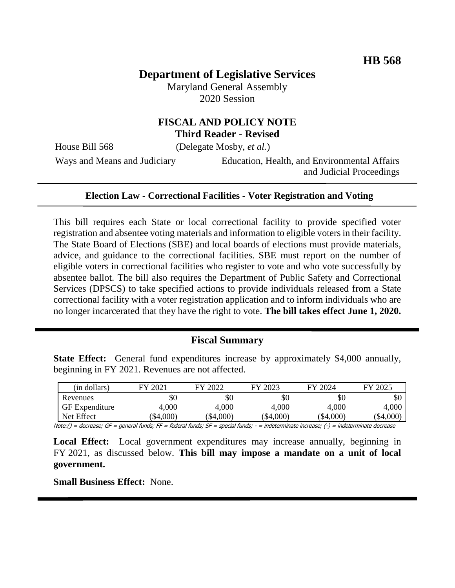# **Department of Legislative Services**

Maryland General Assembly 2020 Session

## **FISCAL AND POLICY NOTE Third Reader - Revised**

House Bill 568 (Delegate Mosby, *et al.*)

Ways and Means and Judiciary Education, Health, and Environmental Affairs and Judicial Proceedings

#### **Election Law - Correctional Facilities - Voter Registration and Voting**

This bill requires each State or local correctional facility to provide specified voter registration and absentee voting materials and information to eligible voters in their facility. The State Board of Elections (SBE) and local boards of elections must provide materials, advice, and guidance to the correctional facilities. SBE must report on the number of eligible voters in correctional facilities who register to vote and who vote successfully by absentee ballot. The bill also requires the Department of Public Safety and Correctional Services (DPSCS) to take specified actions to provide individuals released from a State correctional facility with a voter registration application and to inform individuals who are no longer incarcerated that they have the right to vote. **The bill takes effect June 1, 2020.**

## **Fiscal Summary**

**State Effect:** General fund expenditures increase by approximately \$4,000 annually, beginning in FY 2021. Revenues are not affected.

| (in dollars)          | FY 2021 | FY 2022     | FY 2023 | FY 2024     | FY 2025   |
|-----------------------|---------|-------------|---------|-------------|-----------|
| Revenues              | Y0      | \$0         | $\$0$   | \$0         | ЭU        |
| <b>GF</b> Expenditure | 4,000   | 4,000       | 4,000   | 4,000       | 4,000     |
| Net Effect            | \$4,000 | $(\$4,000)$ | \$4,000 | $(\$4,000)$ | (\$4,000) |

Note:() = decrease; GF = general funds; FF = federal funds; SF = special funds; - = indeterminate increase; (-) = indeterminate decrease

Local Effect: Local government expenditures may increase annually, beginning in FY 2021, as discussed below. **This bill may impose a mandate on a unit of local government.**

**Small Business Effect:** None.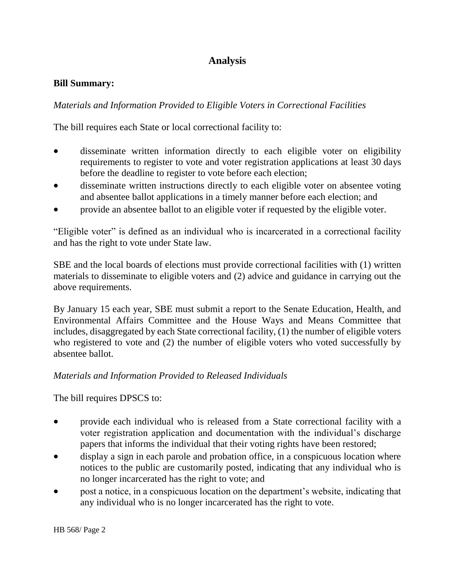## **Analysis**

#### **Bill Summary:**

*Materials and Information Provided to Eligible Voters in Correctional Facilities*

The bill requires each State or local correctional facility to:

- disseminate written information directly to each eligible voter on eligibility requirements to register to vote and voter registration applications at least 30 days before the deadline to register to vote before each election;
- disseminate written instructions directly to each eligible voter on absentee voting and absentee ballot applications in a timely manner before each election; and
- provide an absentee ballot to an eligible voter if requested by the eligible voter.

"Eligible voter" is defined as an individual who is incarcerated in a correctional facility and has the right to vote under State law.

SBE and the local boards of elections must provide correctional facilities with (1) written materials to disseminate to eligible voters and (2) advice and guidance in carrying out the above requirements.

By January 15 each year, SBE must submit a report to the Senate Education, Health, and Environmental Affairs Committee and the House Ways and Means Committee that includes, disaggregated by each State correctional facility, (1) the number of eligible voters who registered to vote and (2) the number of eligible voters who voted successfully by absentee ballot.

## *Materials and Information Provided to Released Individuals*

The bill requires DPSCS to:

- provide each individual who is released from a State correctional facility with a voter registration application and documentation with the individual's discharge papers that informs the individual that their voting rights have been restored;
- display a sign in each parole and probation office, in a conspicuous location where notices to the public are customarily posted, indicating that any individual who is no longer incarcerated has the right to vote; and
- post a notice, in a conspicuous location on the department's website, indicating that any individual who is no longer incarcerated has the right to vote.

HB 568/ Page 2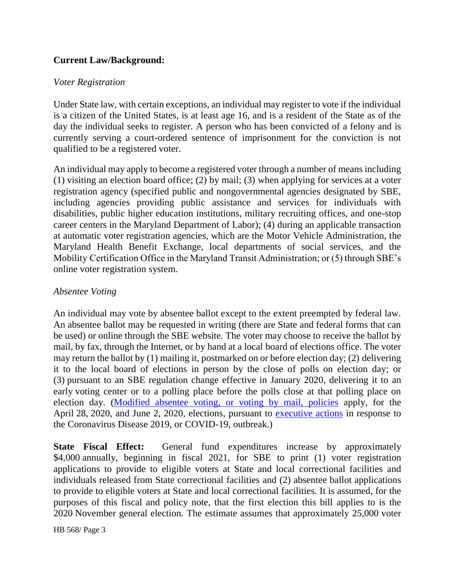## **Current Law/Background:**

#### *Voter Registration*

Under State law, with certain exceptions, an individual may register to vote if the individual is a citizen of the United States, is at least age 16, and is a resident of the State as of the day the individual seeks to register. A person who has been convicted of a felony and is currently serving a court-ordered sentence of imprisonment for the conviction is not qualified to be a registered voter.

An individual may apply to become a registered voter through a number of means including (1) visiting an election board office; (2) by mail; (3) when applying for services at a voter registration agency (specified public and nongovernmental agencies designated by SBE, including agencies providing public assistance and services for individuals with disabilities, public higher education institutions, military recruiting offices, and one-stop career centers in the Maryland Department of Labor); (4) during an applicable transaction at automatic voter registration agencies, which are the Motor Vehicle Administration, the Maryland Health Benefit Exchange, local departments of social services, and the Mobility Certification Office in the Maryland Transit Administration; or (5) through SBE's online voter registration system.

#### *Absentee Voting*

An individual may vote by absentee ballot except to the extent preempted by federal law. An absentee ballot may be requested in writing (there are State and federal forms that can be used) or online through the SBE website. The voter may choose to receive the ballot by mail, by fax, through the Internet, or by hand at a local board of elections office. The voter may return the ballot by (1) mailing it, postmarked on or before election day; (2) delivering it to the local board of elections in person by the close of polls on election day; or (3) pursuant to an SBE regulation change effective in January 2020, delivering it to an early voting center or to a polling place before the polls close at that polling place on election day. [\(Modified absentee voting, or voting by mail, policies](https://elections.maryland.gov/voting/absentee.html) apply, for the April 28, 2020, and June 2, 2020, elections, pursuant to [executive actions](https://governor.maryland.gov/covid-19-pandemic-orders-and-guidance/) in response to the Coronavirus Disease 2019, or COVID-19, outbreak.)

**State Fiscal Effect:** General fund expenditures increase by approximately \$4,000 annually, beginning in fiscal 2021, for SBE to print (1) voter registration applications to provide to eligible voters at State and local correctional facilities and individuals released from State correctional facilities and (2) absentee ballot applications to provide to eligible voters at State and local correctional facilities. It is assumed, for the purposes of this fiscal and policy note, that the first election this bill applies to is the 2020 November general election. The estimate assumes that approximately 25,000 voter

HB 568/ Page 3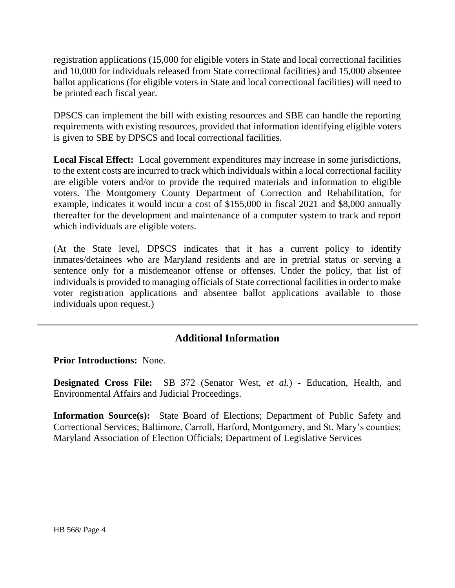registration applications (15,000 for eligible voters in State and local correctional facilities and 10,000 for individuals released from State correctional facilities) and 15,000 absentee ballot applications (for eligible voters in State and local correctional facilities) will need to be printed each fiscal year.

DPSCS can implement the bill with existing resources and SBE can handle the reporting requirements with existing resources, provided that information identifying eligible voters is given to SBE by DPSCS and local correctional facilities.

**Local Fiscal Effect:** Local government expenditures may increase in some jurisdictions, to the extent costs are incurred to track which individuals within a local correctional facility are eligible voters and/or to provide the required materials and information to eligible voters. The Montgomery County Department of Correction and Rehabilitation, for example, indicates it would incur a cost of \$155,000 in fiscal 2021 and \$8,000 annually thereafter for the development and maintenance of a computer system to track and report which individuals are eligible voters.

(At the State level, DPSCS indicates that it has a current policy to identify inmates/detainees who are Maryland residents and are in pretrial status or serving a sentence only for a misdemeanor offense or offenses. Under the policy, that list of individuals is provided to managing officials of State correctional facilities in order to make voter registration applications and absentee ballot applications available to those individuals upon request.)

## **Additional Information**

**Prior Introductions:** None.

**Designated Cross File:** SB 372 (Senator West, *et al.*) - Education, Health, and Environmental Affairs and Judicial Proceedings.

**Information Source(s):** State Board of Elections; Department of Public Safety and Correctional Services; Baltimore, Carroll, Harford, Montgomery, and St. Mary's counties; Maryland Association of Election Officials; Department of Legislative Services